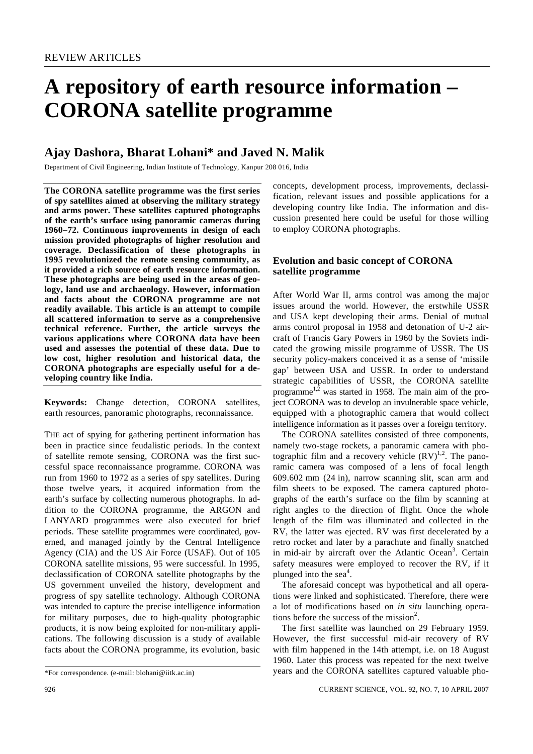# **A repository of earth resource information – CORONA satellite programme**

# **Ajay Dashora, Bharat Lohani\* and Javed N. Malik**

Department of Civil Engineering, Indian Institute of Technology, Kanpur 208 016, India

**The CORONA satellite programme was the first series of spy satellites aimed at observing the military strategy and arms power. These satellites captured photographs of the earth's surface using panoramic cameras during 1960–72. Continuous improvements in design of each mission provided photographs of higher resolution and coverage. Declassification of these photographs in 1995 revolutionized the remote sensing community, as it provided a rich source of earth resource information. These photographs are being used in the areas of geology, land use and archaeology. However, information and facts about the CORONA programme are not readily available. This article is an attempt to compile all scattered information to serve as a comprehensive technical reference. Further, the article surveys the various applications where CORONA data have been used and assesses the potential of these data. Due to low cost, higher resolution and historical data, the CORONA photographs are especially useful for a developing country like India.**

**Keywords:** Change detection, CORONA satellites, earth resources, panoramic photographs, reconnaissance.

THE act of spying for gathering pertinent information has been in practice since feudalistic periods. In the context of satellite remote sensing, CORONA was the first successful space reconnaissance programme. CORONA was run from 1960 to 1972 as a series of spy satellites. During those twelve years, it acquired information from the earth's surface by collecting numerous photographs. In addition to the CORONA programme, the ARGON and LANYARD programmes were also executed for brief periods. These satellite programmes were coordinated, governed, and managed jointly by the Central Intelligence Agency (CIA) and the US Air Force (USAF). Out of 105 CORONA satellite missions, 95 were successful. In 1995, declassification of CORONA satellite photographs by the US government unveiled the history, development and progress of spy satellite technology. Although CORONA was intended to capture the precise intelligence information for military purposes, due to high-quality photographic products, it is now being exploited for non-military applications. The following discussion is a study of available facts about the CORONA programme, its evolution, basic

concepts, development process, improvements, declassification, relevant issues and possible applications for a developing country like India. The information and discussion presented here could be useful for those willing to employ CORONA photographs.

# **Evolution and basic concept of CORONA satellite programme**

After World War II, arms control was among the major issues around the world. However, the erstwhile USSR and USA kept developing their arms. Denial of mutual arms control proposal in 1958 and detonation of U-2 aircraft of Francis Gary Powers in 1960 by the Soviets indicated the growing missile programme of USSR. The US security policy-makers conceived it as a sense of 'missile gap' between USA and USSR. In order to understand strategic capabilities of USSR, the CORONA satellite programme<sup>1,2</sup> was started in 1958. The main aim of the project CORONA was to develop an invulnerable space vehicle, equipped with a photographic camera that would collect intelligence information as it passes over a foreign territory.

The CORONA satellites consisted of three components, namely two-stage rockets, a panoramic camera with photographic film and a recovery vehicle  $(RV)^{1,2}$ . The panoramic camera was composed of a lens of focal length 609.602 mm (24 in), narrow scanning slit, scan arm and film sheets to be exposed. The camera captured photographs of the earth's surface on the film by scanning at right angles to the direction of flight. Once the whole length of the film was illuminated and collected in the RV, the latter was ejected. RV was first decelerated by a retro rocket and later by a parachute and finally snatched in mid-air by aircraft over the Atlantic Ocean<sup>3</sup>. Certain safety measures were employed to recover the RV, if it plunged into the sea<sup>4</sup>.

The aforesaid concept was hypothetical and all operations were linked and sophisticated. Therefore, there were a lot of modifications based on *in situ* launching operations before the success of the mission<sup>2</sup>.

The first satellite was launched on 29 February 1959. However, the first successful mid-air recovery of RV with film happened in the 14th attempt, i.e. on 18 August 1960. Later this process was repeated for the next twelve years and the CORONA satellites captured valuable pho-

<sup>\*</sup>For correspondence. (e-mail: blohani@iitk.ac.in)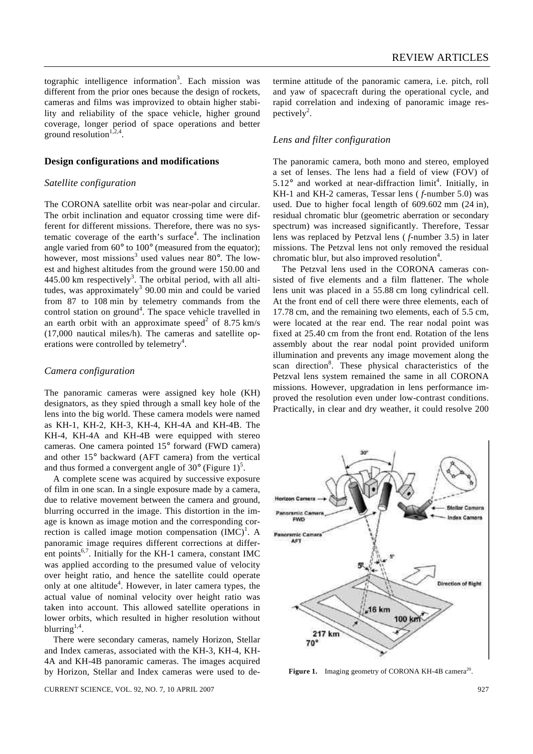tographic intelligence information<sup>3</sup>. Each mission was different from the prior ones because the design of rockets, cameras and films was improvized to obtain higher stability and reliability of the space vehicle, higher ground coverage, longer period of space operations and better ground resolution $1,2,4$ .

# **Design configurations and modifications**

#### *Satellite configuration*

The CORONA satellite orbit was near-polar and circular. The orbit inclination and equator crossing time were different for different missions. Therefore, there was no systematic coverage of the earth's surface<sup>4</sup>. The inclination angle varied from 60° to 100° (measured from the equator); however, most missions<sup>3</sup> used values near 80°. The lowest and highest altitudes from the ground were 150.00 and  $445.00$  km respectively<sup>3</sup>. The orbital period, with all altitudes, was approximately<sup>3</sup> 90.00 min and could be varied from 87 to 108 min by telemetry commands from the control station on ground<sup>4</sup>. The space vehicle travelled in an earth orbit with an approximate speed<sup>2</sup> of 8.75 km/s (17,000 nautical miles/h). The cameras and satellite operations were controlled by telemetry<sup>4</sup>.

#### *Camera configuration*

The panoramic cameras were assigned key hole (KH) designators, as they spied through a small key hole of the lens into the big world. These camera models were named as KH-1, KH-2, KH-3, KH-4, KH-4A and KH-4B. The KH-4, KH-4A and KH-4B were equipped with stereo cameras. One camera pointed 15° forward (FWD camera) and other 15° backward (AFT camera) from the vertical and thus formed a convergent angle of  $30^{\circ}$  (Figure 1)<sup>5</sup>.

A complete scene was acquired by successive exposure of film in one scan. In a single exposure made by a camera, due to relative movement between the camera and ground, blurring occurred in the image. This distortion in the image is known as image motion and the corresponding correction is called image motion compensation  $(MC)^{1}$ . A panoramic image requires different corrections at different points $6,7$ . Initially for the KH-1 camera, constant IMC was applied according to the presumed value of velocity over height ratio, and hence the satellite could operate only at one altitude<sup>4</sup>. However, in later camera types, the actual value of nominal velocity over height ratio was taken into account. This allowed satellite operations in lower orbits, which resulted in higher resolution without blurring $^{1,4}$ .

There were secondary cameras, namely Horizon, Stellar and Index cameras, associated with the KH-3, KH-4, KH-4A and KH-4B panoramic cameras. The images acquired by Horizon, Stellar and Index cameras were used to de-

CURRENT SCIENCE, VOL. 92, NO. 7, 10 APRIL 2007 927

termine attitude of the panoramic camera, i.e. pitch, roll and yaw of spacecraft during the operational cycle, and rapid correlation and indexing of panoramic image respectively<sup>2</sup>.

#### *Lens and filter configuration*

The panoramic camera, both mono and stereo, employed a set of lenses. The lens had a field of view (FOV) of  $5.12^{\circ}$  and worked at near-diffraction limit<sup>4</sup>. Initially, in KH-1 and KH-2 cameras, Tessar lens ( *f*-number 5.0) was used. Due to higher focal length of 609.602 mm (24 in), residual chromatic blur (geometric aberration or secondary spectrum) was increased significantly. Therefore, Tessar lens was replaced by Petzval lens ( *f*-number 3.5) in later missions. The Petzval lens not only removed the residual chromatic blur, but also improved resolution<sup>4</sup>.

The Petzval lens used in the CORONA cameras consisted of five elements and a film flattener. The whole lens unit was placed in a 55.88 cm long cylindrical cell. At the front end of cell there were three elements, each of 17.78 cm, and the remaining two elements, each of 5.5 cm, were located at the rear end. The rear nodal point was fixed at 25.40 cm from the front end. Rotation of the lens assembly about the rear nodal point provided uniform illumination and prevents any image movement along the scan direction<sup>8</sup>. These physical characteristics of the Petzval lens system remained the same in all CORONA missions. However, upgradation in lens performance improved the resolution even under low-contrast conditions. Practically, in clear and dry weather, it could resolve 200



Figure 1. Imaging geometry of CORONA KH-4B camera<sup>20</sup>.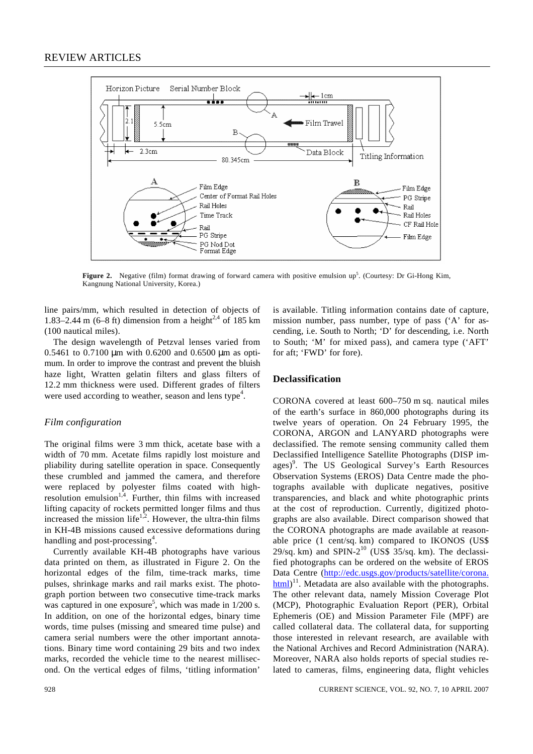

**Figure 2.** Negative (film) format drawing of forward camera with positive emulsion up<sup>5</sup>. (Courtesy: Dr Gi-Hong Kim, Kangnung National University, Korea.)

line pairs/mm, which resulted in detection of objects of 1.83–2.44 m (6–8 ft) dimension from a height<sup>2,4</sup> of 185 km (100 nautical miles).

The design wavelength of Petzval lenses varied from 0.5461 to 0.7100 μm with 0.6200 and 0.6500 μm as optimum. In order to improve the contrast and prevent the bluish haze light, Wratten gelatin filters and glass filters of 12.2 mm thickness were used. Different grades of filters were used according to weather, season and lens type<sup>4</sup>.

#### *Film configuration*

The original films were 3 mm thick, acetate base with a width of 70 mm. Acetate films rapidly lost moisture and pliability during satellite operation in space. Consequently these crumbled and jammed the camera, and therefore were replaced by polyester films coated with highresolution emulsion $1,4$ . Further, thin films with increased lifting capacity of rockets permitted longer films and thus increased the mission life<sup>1,2</sup>. However, the ultra-thin films in KH-4B missions caused excessive deformations during handling and post-processing<sup>4</sup>.

Currently available KH-4B photographs have various data printed on them, as illustrated in Figure 2. On the horizontal edges of the film, time-track marks, time pulses, shrinkage marks and rail marks exist. The photograph portion between two consecutive time-track marks was captured in one exposure<sup>5</sup>, which was made in  $1/200$  s. In addition, on one of the horizontal edges, binary time words, time pulses (missing and smeared time pulse) and camera serial numbers were the other important annotations. Binary time word containing 29 bits and two index marks, recorded the vehicle time to the nearest millisecond. On the vertical edges of films, 'titling information'

is available. Titling information contains date of capture, mission number, pass number, type of pass ('A' for ascending, i.e. South to North; 'D' for descending, i.e. North to South; 'M' for mixed pass), and camera type ('AFT' for aft; 'FWD' for fore).

#### **Declassification**

CORONA covered at least 600–750 m sq. nautical miles of the earth's surface in 860,000 photographs during its twelve years of operation. On 24 February 1995, the CORONA, ARGON and LANYARD photographs were declassified. The remote sensing community called them Declassified Intelligence Satellite Photographs (DISP images)<sup>9</sup>. The US Geological Survey's Earth Resources Observation Systems (EROS) Data Centre made the photographs available with duplicate negatives, positive transparencies, and black and white photographic prints at the cost of reproduction. Currently, digitized photographs are also available. Direct comparison showed that the CORONA photographs are made available at reasonable price (1 cent/sq. km) compared to IKONOS (US\$ 29/sq. km) and SPIN- $2^{10}$  (US\$ 35/sq. km). The declassified photographs can be ordered on the website of EROS Data Centre (http://edc.usgs.gov/products/satellite/corona. html)<sup>11</sup>. Metadata are also available with the photographs. The other relevant data, namely Mission Coverage Plot (MCP), Photographic Evaluation Report (PER), Orbital Ephemeris (OE) and Mission Parameter File (MPF) are called collateral data. The collateral data, for supporting those interested in relevant research, are available with the National Archives and Record Administration (NARA). Moreover, NARA also holds reports of special studies related to cameras, films, engineering data, flight vehicles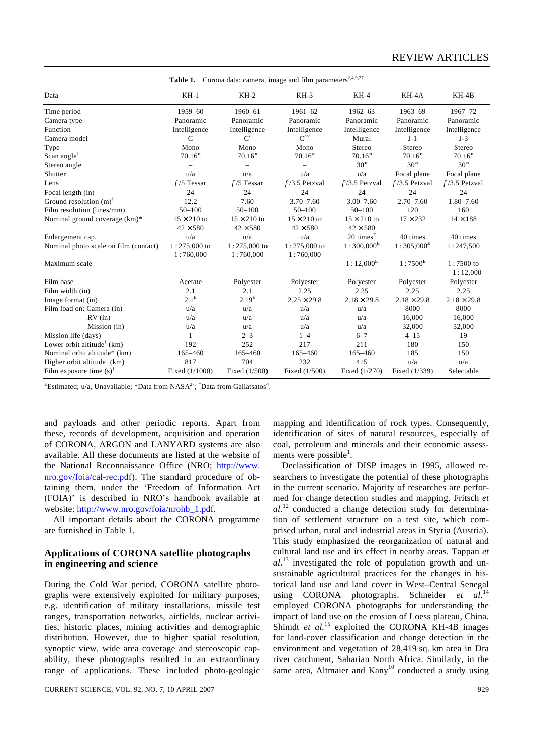| Corona data. Camera, miage and rinn parameters             |                    |                          |                          |                      |                          |                         |
|------------------------------------------------------------|--------------------|--------------------------|--------------------------|----------------------|--------------------------|-------------------------|
| Data                                                       | $KH-1$             | $KH-2$                   | $KH-3$                   | $KH-4$               | KH-4A                    | $KH-4B$                 |
| Time period                                                | 1959-60            | 1960-61                  | $1961 - 62$              | $1962 - 63$          | $1963 - 69$              | 1967-72                 |
| Camera type                                                | Panoramic          | Panoramic                | Panoramic                | Panoramic            | Panoramic                | Panoramic               |
| Function                                                   | Intelligence       | Intelligence             | Intelligence             | Intelligence         | Intelligence             | Intelligence            |
| Camera model                                               | $\mathsf{C}$       | C'                       | $C^{\prime\prime\prime}$ | Mural                | $J-1$                    | $J-3$                   |
| Type                                                       | Mono               | Mono                     | Mono                     | Stereo               | Stereo                   | Stereo                  |
| Scan angle <sup><math>\uparrow</math></sup>                | $70.16^\circ$      | $70.16^\circ$            | $70.16^\circ$            | $70.16^\circ$        | $70.16^\circ$            | $70.16^{\circ}$         |
| Stereo angle                                               |                    | $\overline{\phantom{0}}$ |                          | $30^\circ$           | $30^\circ$               | $30^\circ$              |
| Shutter                                                    | u/a                | u/a                      | u/a                      | u/a                  | Focal plane              | Focal plane             |
| Lens                                                       | $f/5$ Tessar       | $f/5$ Tessar             | $f/3.5$ Petzval          | $f/3.5$ Petzval      | $f/3.5$ Petzval          | $f/3.5$ Petzval         |
| Focal length (in)                                          | 24                 | 24                       | 24                       | 24                   | 24                       | 24                      |
| Ground resolution $(m)^{\dagger}$                          | 12.2               | 7.60                     | $3.70 - 7.60$            | $3.00 - 7.60$        | $2.70 - 7.60$            | $1.80 - 7.60$           |
| Film resolution (lines/mm)                                 | $50 - 100$         | $50 - 100$               | $50 - 100$               | $50 - 100$           | 120                      | 160                     |
| Nominal ground coverage (km)*                              | $15 \times 210$ to | $15 \times 210$ to       | $15 \times 210$ to       | $15 \times 210$ to   | $17 \times 232$          | $14 \times 188$         |
|                                                            | $42 \times 580$    | $42 \times 580$          | $42 \times 580$          | $42 \times 580$      |                          |                         |
| Enlargement cap.                                           | u/a                | u/a                      | u/a                      | $20 \text{ times}^E$ | 40 times                 | 40 times                |
| Nominal photo scale on film (contact)                      | $1:275,000$ to     | $1:275,000$ to           | $1:275,000$ to           | $1:300,000^E$        | $1:305,000^{\mathbf{E}}$ | 1:247,500               |
|                                                            | 1:760,000          | 1:760,000                | 1:760,000                |                      |                          |                         |
| Maximum scale                                              |                    |                          |                          | $1:12,000^E$         | $1:7500^{\rm E}$         | $1:7500$ to<br>1:12,000 |
| Film base                                                  | Acetate            | Polyester                | Polyester                | Polyester            | Polyester                | Polyester               |
| Film width (in)                                            | 2.1                | 2.1                      | 2.25                     | 2.25                 | 2.25                     | 2.25                    |
| Image format (in)                                          | 2.1 <sup>E</sup>   | 2.19 <sup>E</sup>        | $2.25 \times 29.8$       | $2.18 \times 29.8$   | $2.18 \times 29.8$       | $2.18 \times 29.8$      |
| Film load on: Camera (in)                                  | u/a                | u/a                      | u/a                      | u/a                  | 8000                     | 8000                    |
| $RV$ (in)                                                  | u/a                | u/a                      | u/a                      | u/a                  | 16,000                   | 16,000                  |
| Mission (in)                                               | u/a                | u/a                      | u/a                      | u/a                  | 32,000                   | 32,000                  |
| Mission life (days)                                        | 1                  | $2 - 3$                  | $1 - 4$                  | $6 - 7$              | $4 - 15$                 | 19                      |
| Lower orbit altitude <sup>†</sup> (km)                     | 192                | 252                      | 217                      | 211                  | 180                      | 150                     |
| Nominal orbit altitude* (km)                               | 165-460            | $165 - 460$              | 165-460                  | 165-460              | 185                      | 150                     |
| Higher orbit altitude <sup><math>\dagger</math></sup> (km) | 817                | 704                      | 232                      | 415                  | u/a                      | u/a                     |
| Film exposure time $(s)$ <sup><math>\dagger</math></sup>   | Fixed (1/1000)     | Fixed (1/500)            | Fixed (1/500)            | Fixed (1/270)        | Fixed (1/339)            | Selectable              |

Table 1. Corona data: camera, image and film parameters<sup>2,4,9,27</sup>

<sup>E</sup>Estimated; u/a, Unavailable; \*Data from NASA<sup>27</sup>; <sup>†</sup>Data from Galiatsatos<sup>4</sup>.

and payloads and other periodic reports. Apart from these, records of development, acquisition and operation of CORONA, ARGON and LANYARD systems are also available. All these documents are listed at the website of the National Reconnaissance Office (NRO; http://www. nro.gov/foia/cal-rec.pdf). The standard procedure of obtaining them, under the 'Freedom of Information Act (FOIA)' is described in NRO's handbook available at website: http://www.nro.gov/foia/nrohb\_1.pdf.

All important details about the CORONA programme are furnished in Table 1.

## **Applications of CORONA satellite photographs in engineering and science**

During the Cold War period, CORONA satellite photographs were extensively exploited for military purposes, e.g. identification of military installations, missile test ranges, transportation networks, airfields, nuclear activities, historic places, mining activities and demographic distribution. However, due to higher spatial resolution, synoptic view, wide area coverage and stereoscopic capability, these photographs resulted in an extraordinary range of applications. These included photo-geologic

CURRENT SCIENCE, VOL. 92, NO. 7, 10 APRIL 2007 929

mapping and identification of rock types. Consequently, identification of sites of natural resources, especially of coal, petroleum and minerals and their economic assessments were possible<sup>1</sup>.

Declassification of DISP images in 1995, allowed researchers to investigate the potential of these photographs in the current scenario. Majority of researches are performed for change detection studies and mapping. Fritsch *et al.*<sup>12</sup> conducted a change detection study for determination of settlement structure on a test site, which comprised urban, rural and industrial areas in Styria (Austria). This study emphasized the reorganization of natural and cultural land use and its effect in nearby areas. Tappan *et al.*<sup>13</sup> investigated the role of population growth and unsustainable agricultural practices for the changes in historical land use and land cover in West–Central Senegal using CORONA photographs. Schneider *et al.*<sup>14</sup> employed CORONA photographs for understanding the impact of land use on the erosion of Loess plateau, China. Shimdt *et al.*<sup>15</sup> exploited the CORONA KH-4B images for land-cover classification and change detection in the environment and vegetation of 28,419 sq. km area in Dra river catchment, Saharian North Africa. Similarly, in the same area, Altmaier and  $Kany$ <sup>10</sup> conducted a study using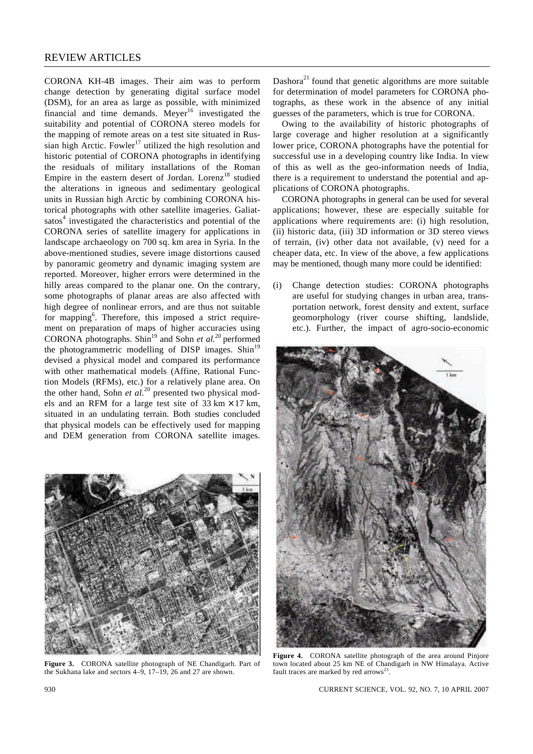CORONA KH-4B images. Their aim was to perform change detection by generating digital surface model (DSM), for an area as large as possible, with minimized financial and time demands. Meyer<sup>16</sup> investigated the suitability and potential of CORONA stereo models for the mapping of remote areas on a test site situated in Russian high Arctic. Fowler<sup>17</sup> utilized the high resolution and historic potential of CORONA photographs in identifying the residuals of military installations of the Roman Empire in the eastern desert of Jordan. Lorenz<sup>18</sup> studied the alterations in igneous and sedimentary geological units in Russian high Arctic by combining CORONA historical photographs with other satellite imageries. Galiatsatos<sup>4</sup> investigated the characteristics and potential of the CORONA series of satellite imagery for applications in landscape archaeology on 700 sq. km area in Syria. In the above-mentioned studies, severe image distortions caused by panoramic geometry and dynamic imaging system are reported. Moreover, higher errors were determined in the hilly areas compared to the planar one. On the contrary, some photographs of planar areas are also affected with high degree of nonlinear errors, and are thus not suitable for mapping<sup>6</sup>. Therefore, this imposed a strict requirement on preparation of maps of higher accuracies using CORONA photographs. Shin<sup>19</sup> and Sohn *et al.*<sup>20</sup> performed the photogrammetric modelling of DISP images.  $Shin<sup>19</sup>$ devised a physical model and compared its performance with other mathematical models (Affine, Rational Function Models (RFMs), etc*.*) for a relatively plane area. On the other hand, Sohn *et al.*<sup>20</sup> presented two physical models and an RFM for a large test site of 33 km  $\times$  17 km, situated in an undulating terrain. Both studies concluded that physical models can be effectively used for mapping and DEM generation from CORONA satellite images.



**Figure 3.** CORONA satellite photograph of NE Chandigarh. Part of the Sukhana lake and sectors 4–9, 17–19, 26 and 27 are shown.

Dashora<sup>21</sup> found that genetic algorithms are more suitable for determination of model parameters for CORONA photographs, as these work in the absence of any initial guesses of the parameters, which is true for CORONA.

Owing to the availability of historic photographs of large coverage and higher resolution at a significantly lower price, CORONA photographs have the potential for successful use in a developing country like India. In view of this as well as the geo-information needs of India, there is a requirement to understand the potential and applications of CORONA photographs.

CORONA photographs in general can be used for several applications; however, these are especially suitable for applications where requirements are: (i) high resolution, (ii) historic data, (iii) 3D information or 3D stereo views of terrain, (iv) other data not available, (v) need for a cheaper data, etc. In view of the above, a few applications may be mentioned, though many more could be identified:

(i) Change detection studies: CORONA photographs are useful for studying changes in urban area, transportation network, forest density and extent, surface geomorphology (river course shifting, landslide, etc.). Further, the impact of agro-socio-economic



**Figure 4.** CORONA satellite photograph of the area around Pinjore town located about 25 km NE of Chandigarh in NW Himalaya. Active fault traces are marked by red arrows<sup>23</sup>.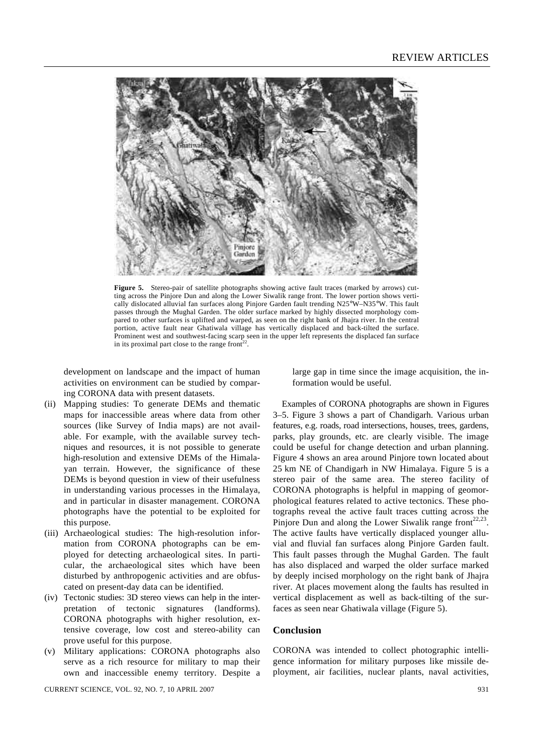

Figure 5. Stereo-pair of satellite photographs showing active fault traces (marked by arrows) cutting across the Pinjore Dun and along the Lower Siwalik range front. The lower portion shows vertically dislocated alluvial fan surfaces along Pinjore Garden fault trending N25°W–N35°W. This fault passes through the Mughal Garden. The older surface marked by highly dissected morphology compared to other surfaces is uplifted and warped, as seen on the right bank of Jhajra river. In the central portion, active fault near Ghatiwala village has vertically displaced and back-tilted the surface. Prominent west and southwest-facing scarp seen in the upper left represents the displaced fan surface in its proximal part close to the range front $2^2$ .

development on landscape and the impact of human activities on environment can be studied by comparing CORONA data with present datasets.

- (ii) Mapping studies: To generate DEMs and thematic maps for inaccessible areas where data from other sources (like Survey of India maps) are not available. For example, with the available survey techniques and resources, it is not possible to generate high-resolution and extensive DEMs of the Himalayan terrain. However, the significance of these DEMs is beyond question in view of their usefulness in understanding various processes in the Himalaya, and in particular in disaster management. CORONA photographs have the potential to be exploited for this purpose.
- (iii) Archaeological studies: The high-resolution information from CORONA photographs can be employed for detecting archaeological sites. In particular, the archaeological sites which have been disturbed by anthropogenic activities and are obfuscated on present-day data can be identified.
- (iv) Tectonic studies: 3D stereo views can help in the interpretation of tectonic signatures (landforms). CORONA photographs with higher resolution, extensive coverage, low cost and stereo-ability can prove useful for this purpose.
- (v) Military applications: CORONA photographs also serve as a rich resource for military to map their own and inaccessible enemy territory. Despite a

large gap in time since the image acquisition, the information would be useful.

Examples of CORONA photographs are shown in Figures 3–5. Figure 3 shows a part of Chandigarh. Various urban features, e.g. roads, road intersections, houses, trees, gardens, parks, play grounds, etc. are clearly visible. The image could be useful for change detection and urban planning. Figure 4 shows an area around Pinjore town located about 25 km NE of Chandigarh in NW Himalaya. Figure 5 is a stereo pair of the same area. The stereo facility of CORONA photographs is helpful in mapping of geomorphological features related to active tectonics. These photographs reveal the active fault traces cutting across the Pinjore Dun and along the Lower Siwalik range front<sup>22,23</sup>. The active faults have vertically displaced younger alluvial and fluvial fan surfaces along Pinjore Garden fault. This fault passes through the Mughal Garden. The fault has also displaced and warped the older surface marked by deeply incised morphology on the right bank of Jhajra river. At places movement along the faults has resulted in vertical displacement as well as back-tilting of the surfaces as seen near Ghatiwala village (Figure 5).

# **Conclusion**

CORONA was intended to collect photographic intelligence information for military purposes like missile deployment, air facilities, nuclear plants, naval activities,